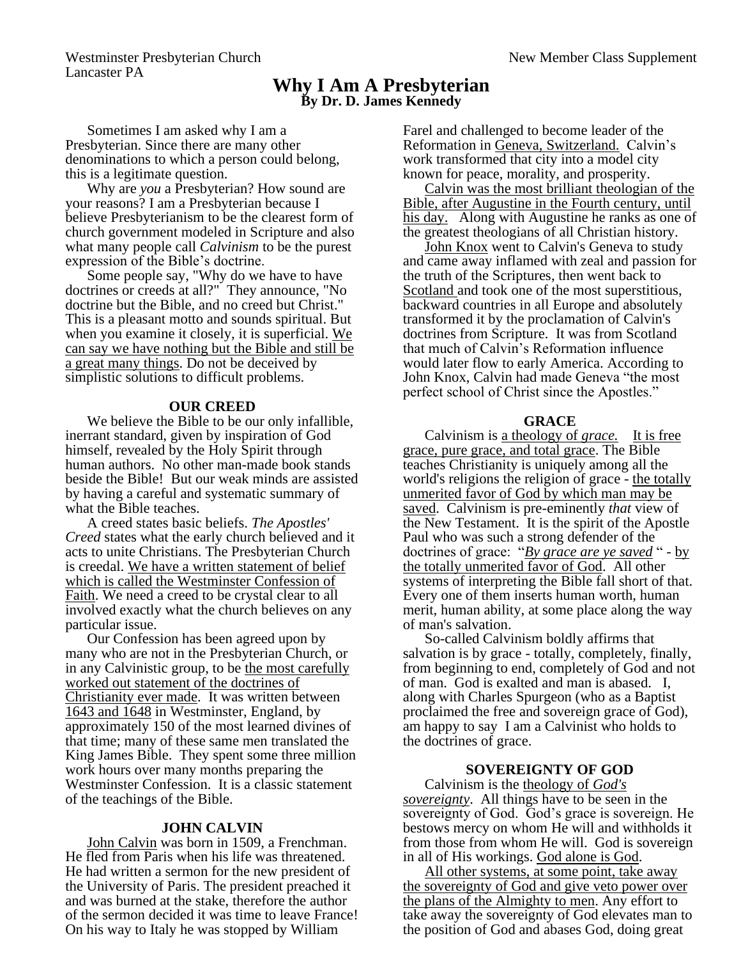Westminster Presbyterian Church New Member Class Supplement Lancaster PA

# **Why I Am A Presbyterian By Dr. D. James Kennedy**

Sometimes I am asked why I am a Presbyterian. Since there are many other denominations to which a person could belong, this is a legitimate question.

Why are *you* a Presbyterian? How sound are your reasons? I am a Presbyterian because I believe Presbyterianism to be the clearest form of church government modeled in Scripture and also what many people call *Calvinism* to be the purest expression of the Bible's doctrine.

Some people say, "Why do we have to have doctrines or creeds at all?" They announce, "No doctrine but the Bible, and no creed but Christ." This is a pleasant motto and sounds spiritual. But when you examine it closely, it is superficial. We can say we have nothing but the Bible and still be a great many things. Do not be deceived by simplistic solutions to difficult problems.

# **OUR CREED**

We believe the Bible to be our only infallible, inerrant standard, given by inspiration of God himself, revealed by the Holy Spirit through human authors. No other man-made book stands beside the Bible! But our weak minds are assisted by having a careful and systematic summary of what the Bible teaches.

A creed states basic beliefs. *The Apostles' Creed* states what the early church believed and it acts to unite Christians. The Presbyterian Church is creedal. We have a written statement of belief which is called the Westminster Confession of Faith. We need a creed to be crystal clear to all involved exactly what the church believes on any particular issue.

Our Confession has been agreed upon by many who are not in the Presbyterian Church, or in any Calvinistic group, to be the most carefully worked out statement of the doctrines of Christianity ever made. It was written between 1643 and 1648 in Westminster, England, by approximately 150 of the most learned divines of that time; many of these same men translated the King James Bible. They spent some three million work hours over many months preparing the Westminster Confession. It is a classic statement of the teachings of the Bible.

#### **JOHN CALVIN**

John Calvin was born in 1509, a Frenchman. He fled from Paris when his life was threatened. He had written a sermon for the new president of the University of Paris. The president preached it and was burned at the stake, therefore the author of the sermon decided it was time to leave France! On his way to Italy he was stopped by William

Farel and challenged to become leader of the Reformation in Geneva, Switzerland. Calvin's work transformed that city into a model city known for peace, morality, and prosperity.

Calvin was the most brilliant theologian of the Bible, after Augustine in the Fourth century, until his day. Along with Augustine he ranks as one of the greatest theologians of all Christian history.

John Knox went to Calvin's Geneva to study and came away inflamed with zeal and passion for the truth of the Scriptures, then went back to Scotland and took one of the most superstitious, backward countries in all Europe and absolutely transformed it by the proclamation of Calvin's doctrines from Scripture. It was from Scotland that much of Calvin's Reformation influence would later flow to early America. According to John Knox, Calvin had made Geneva "the most perfect school of Christ since the Apostles."

## **GRACE**

Calvinism is a theology of *grace.* It is free grace, pure grace, and total grace. The Bible teaches Christianity is uniquely among all the world's religions the religion of grace - the totally unmerited favor of God by which man may be saved. Calvinism is pre-eminently *that* view of the New Testament. It is the spirit of the Apostle Paul who was such a strong defender of the doctrines of grace: "*By grace are ye saved* " - by the totally unmerited favor of God. All other systems of interpreting the Bible fall short of that. Every one of them inserts human worth, human merit, human ability, at some place along the way of man's salvation.

So-called Calvinism boldly affirms that salvation is by grace - totally, completely, finally, from beginning to end, completely of God and not of man. God is exalted and man is abased. I, along with Charles Spurgeon (who as a Baptist proclaimed the free and sovereign grace of God), am happy to say I am a Calvinist who holds to the doctrines of grace.

# **SOVEREIGNTY OF GOD**

Calvinism is the theology of *God's sovereignty*. All things have to be seen in the sovereignty of God. God's grace is sovereign. He bestows mercy on whom He will and withholds it from those from whom He will. God is sovereign in all of His workings. God alone is God.

All other systems, at some point, take away the sovereignty of God and give veto power over the plans of the Almighty to men. Any effort to take away the sovereignty of God elevates man to the position of God and abases God, doing great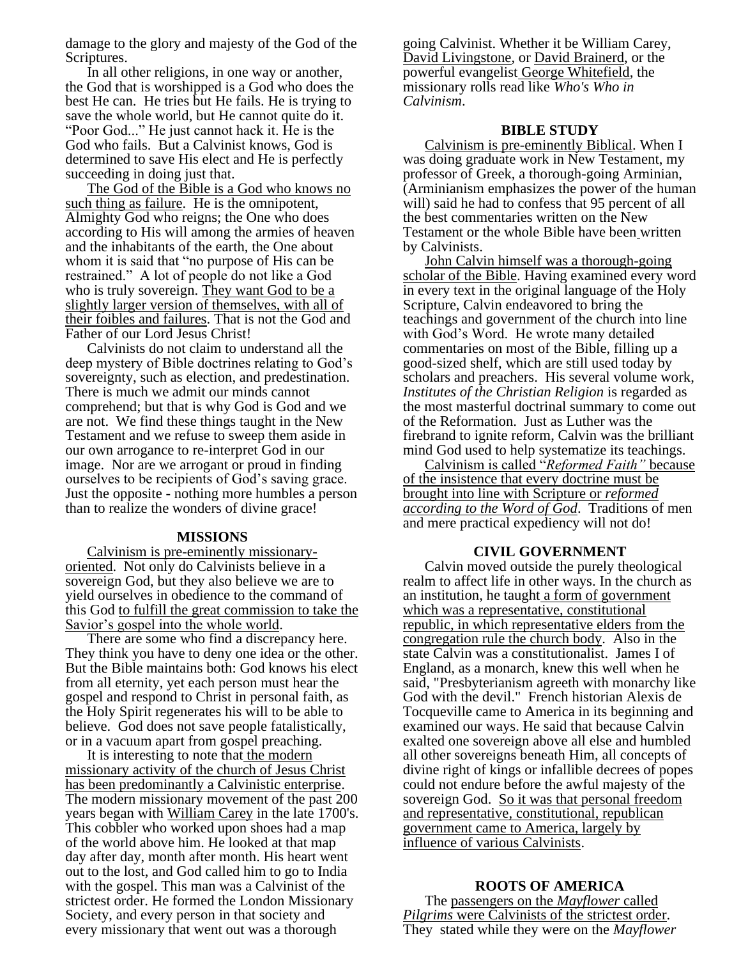damage to the glory and majesty of the God of the Scriptures.

In all other religions, in one way or another, the God that is worshipped is a God who does the best He can. He tries but He fails. He is trying to save the whole world, but He cannot quite do it. "Poor God..." He just cannot hack it. He is the God who fails. But a Calvinist knows, God is determined to save His elect and He is perfectly succeeding in doing just that.

The God of the Bible is a God who knows no such thing as failure. He is the omnipotent, Almighty God who reigns; the One who does according to His will among the armies of heaven and the inhabitants of the earth, the One about whom it is said that "no purpose of His can be restrained." A lot of people do not like a God who is truly sovereign. They want God to be a slightly larger version of themselves, with all of their foibles and failures. That is not the God and Father of our Lord Jesus Christ!

Calvinists do not claim to understand all the deep mystery of Bible doctrines relating to God's sovereignty, such as election, and predestination. There is much we admit our minds cannot comprehend; but that is why God is God and we are not. We find these things taught in the New Testament and we refuse to sweep them aside in our own arrogance to re-interpret God in our image. Nor are we arrogant or proud in finding ourselves to be recipients of God's saving grace. Just the opposite - nothing more humbles a person than to realize the wonders of divine grace!

#### **MISSIONS**

Calvinism is pre-eminently missionaryoriented. Not only do Calvinists believe in a sovereign God, but they also believe we are to yield ourselves in obedience to the command of this God to fulfill the great commission to take the Savior's gospel into the whole world.

There are some who find a discrepancy here. They think you have to deny one idea or the other. But the Bible maintains both: God knows his elect from all eternity, yet each person must hear the gospel and respond to Christ in personal faith, as the Holy Spirit regenerates his will to be able to believe. God does not save people fatalistically, or in a vacuum apart from gospel preaching.

It is interesting to note that the modern missionary activity of the church of Jesus Christ has been predominantly a Calvinistic enterprise. The modern missionary movement of the past 200 years began with William Carey in the late 1700's. This cobbler who worked upon shoes had a map of the world above him. He looked at that map day after day, month after month. His heart went out to the lost, and God called him to go to India with the gospel. This man was a Calvinist of the strictest order. He formed the London Missionary Society, and every person in that society and every missionary that went out was a thorough

going Calvinist. Whether it be William Carey, David Livingstone, or David Brainerd, or the powerful evangelist George Whitefield, the missionary rolls read like *Who's Who in Calvinism*.

## **BIBLE STUDY**

Calvinism is pre-eminently Biblical. When I was doing graduate work in New Testament, my professor of Greek, a thorough-going Arminian, (Arminianism emphasizes the power of the human will) said he had to confess that 95 percent of all the best commentaries written on the New Testament or the whole Bible have been written by Calvinists.

John Calvin himself was a thorough-going scholar of the Bible. Having examined every word in every text in the original language of the Holy Scripture, Calvin endeavored to bring the teachings and government of the church into line with God's Word. He wrote many detailed commentaries on most of the Bible, filling up a good-sized shelf, which are still used today by scholars and preachers. His several volume work, *Institutes of the Christian Religion* is regarded as the most masterful doctrinal summary to come out of the Reformation. Just as Luther was the firebrand to ignite reform, Calvin was the brilliant mind God used to help systematize its teachings.

Calvinism is called "*Reformed Faith"* because of the insistence that every doctrine must be brought into line with Scripture or *reformed according to the Word of God*. Traditions of men and mere practical expediency will not do!

### **CIVIL GOVERNMENT**

Calvin moved outside the purely theological realm to affect life in other ways. In the church as an institution, he taught a form of government which was a representative, constitutional republic, in which representative elders from the congregation rule the church body. Also in the state Calvin was a constitutionalist. James I of England, as a monarch, knew this well when he said, "Presbyterianism agreeth with monarchy like God with the devil." French historian Alexis de Tocqueville came to America in its beginning and examined our ways. He said that because Calvin exalted one sovereign above all else and humbled all other sovereigns beneath Him, all concepts of divine right of kings or infallible decrees of popes could not endure before the awful majesty of the sovereign God. So it was that personal freedom and representative, constitutional, republican government came to America, largely by influence of various Calvinists.

## **ROOTS OF AMERICA**

The passengers on the *Mayflower* called *Pilgrims* were Calvinists of the strictest order. They stated while they were on the *Mayflower*